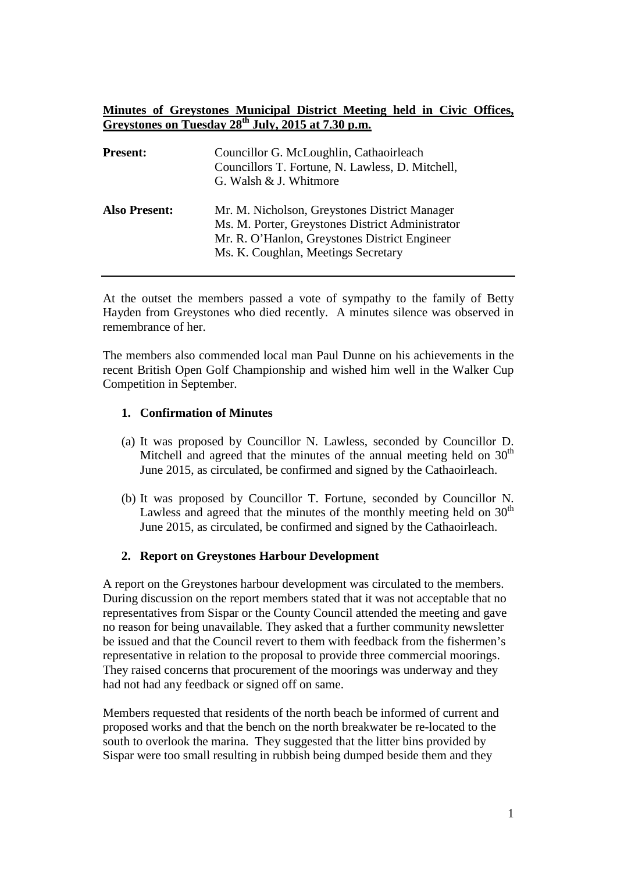# **Minutes of Greystones Municipal District Meeting held in Civic Offices, Greystones on Tuesday 28th July, 2015 at 7.30 p.m.**

| <b>Present:</b>      | Councillor G. McLoughlin, Cathaoirleach<br>Councillors T. Fortune, N. Lawless, D. Mitchell,<br>G. Walsh & J. Whitmore                                                                     |
|----------------------|-------------------------------------------------------------------------------------------------------------------------------------------------------------------------------------------|
| <b>Also Present:</b> | Mr. M. Nicholson, Greystones District Manager<br>Ms. M. Porter, Greystones District Administrator<br>Mr. R. O'Hanlon, Greystones District Engineer<br>Ms. K. Coughlan, Meetings Secretary |

At the outset the members passed a vote of sympathy to the family of Betty Hayden from Greystones who died recently. A minutes silence was observed in remembrance of her.

The members also commended local man Paul Dunne on his achievements in the recent British Open Golf Championship and wished him well in the Walker Cup Competition in September.

#### **1. Confirmation of Minutes**

- (a) It was proposed by Councillor N. Lawless, seconded by Councillor D. Mitchell and agreed that the minutes of the annual meeting held on  $30<sup>th</sup>$ June 2015, as circulated, be confirmed and signed by the Cathaoirleach.
- (b) It was proposed by Councillor T. Fortune, seconded by Councillor N. Lawless and agreed that the minutes of the monthly meeting held on  $30<sup>th</sup>$ June 2015, as circulated, be confirmed and signed by the Cathaoirleach.

#### **2. Report on Greystones Harbour Development**

A report on the Greystones harbour development was circulated to the members. During discussion on the report members stated that it was not acceptable that no representatives from Sispar or the County Council attended the meeting and gave no reason for being unavailable. They asked that a further community newsletter be issued and that the Council revert to them with feedback from the fishermen's representative in relation to the proposal to provide three commercial moorings. They raised concerns that procurement of the moorings was underway and they had not had any feedback or signed off on same.

Members requested that residents of the north beach be informed of current and proposed works and that the bench on the north breakwater be re-located to the south to overlook the marina. They suggested that the litter bins provided by Sispar were too small resulting in rubbish being dumped beside them and they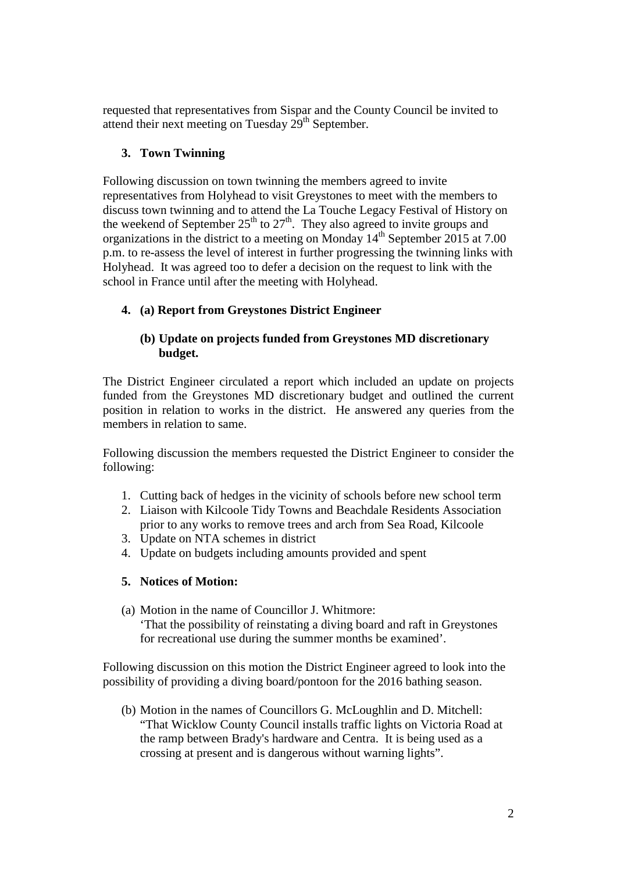requested that representatives from Sispar and the County Council be invited to attend their next meeting on Tuesday  $29<sup>th</sup>$  September.

## **3. Town Twinning**

Following discussion on town twinning the members agreed to invite representatives from Holyhead to visit Greystones to meet with the members to discuss town twinning and to attend the La Touche Legacy Festival of History on the weekend of September  $25<sup>th</sup>$  to  $27<sup>th</sup>$ . They also agreed to invite groups and organizations in the district to a meeting on Monday  $14<sup>th</sup>$  September 2015 at 7.00 p.m. to re-assess the level of interest in further progressing the twinning links with Holyhead. It was agreed too to defer a decision on the request to link with the school in France until after the meeting with Holyhead.

# **4. (a) Report from Greystones District Engineer**

## **(b) Update on projects funded from Greystones MD discretionary budget.**

The District Engineer circulated a report which included an update on projects funded from the Greystones MD discretionary budget and outlined the current position in relation to works in the district. He answered any queries from the members in relation to same.

Following discussion the members requested the District Engineer to consider the following:

- 1. Cutting back of hedges in the vicinity of schools before new school term
- 2. Liaison with Kilcoole Tidy Towns and Beachdale Residents Association prior to any works to remove trees and arch from Sea Road, Kilcoole
- 3. Update on NTA schemes in district
- 4. Update on budgets including amounts provided and spent

## **5. Notices of Motion:**

(a) Motion in the name of Councillor J. Whitmore: 'That the possibility of reinstating a diving board and raft in Greystones for recreational use during the summer months be examined'.

Following discussion on this motion the District Engineer agreed to look into the possibility of providing a diving board/pontoon for the 2016 bathing season.

(b) Motion in the names of Councillors G. McLoughlin and D. Mitchell: "That Wicklow County Council installs traffic lights on Victoria Road at the ramp between Brady's hardware and Centra. It is being used as a crossing at present and is dangerous without warning lights".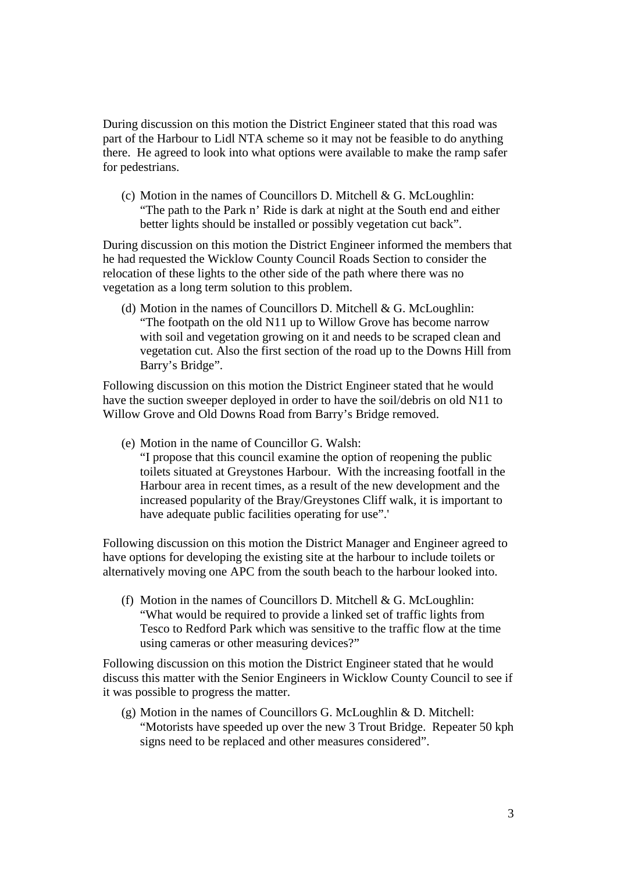During discussion on this motion the District Engineer stated that this road was part of the Harbour to Lidl NTA scheme so it may not be feasible to do anything there. He agreed to look into what options were available to make the ramp safer for pedestrians.

(c) Motion in the names of Councillors D. Mitchell & G. McLoughlin: "The path to the Park n' Ride is dark at night at the South end and either better lights should be installed or possibly vegetation cut back".

During discussion on this motion the District Engineer informed the members that he had requested the Wicklow County Council Roads Section to consider the relocation of these lights to the other side of the path where there was no vegetation as a long term solution to this problem.

(d) Motion in the names of Councillors D. Mitchell  $& G.$  McLoughlin: "The footpath on the old N11 up to Willow Grove has become narrow with soil and vegetation growing on it and needs to be scraped clean and vegetation cut. Also the first section of the road up to the Downs Hill from Barry's Bridge".

Following discussion on this motion the District Engineer stated that he would have the suction sweeper deployed in order to have the soil/debris on old N11 to Willow Grove and Old Downs Road from Barry's Bridge removed.

(e) Motion in the name of Councillor G. Walsh:

"I propose that this council examine the option of reopening the public toilets situated at Greystones Harbour. With the increasing footfall in the Harbour area in recent times, as a result of the new development and the increased popularity of the Bray/Greystones Cliff walk, it is important to have adequate public facilities operating for use".'

Following discussion on this motion the District Manager and Engineer agreed to have options for developing the existing site at the harbour to include toilets or alternatively moving one APC from the south beach to the harbour looked into.

(f) Motion in the names of Councillors D. Mitchell  $\&$  G. McLoughlin: "What would be required to provide a linked set of traffic lights from Tesco to Redford Park which was sensitive to the traffic flow at the time using cameras or other measuring devices?"

Following discussion on this motion the District Engineer stated that he would discuss this matter with the Senior Engineers in Wicklow County Council to see if it was possible to progress the matter.

(g) Motion in the names of Councillors G. McLoughlin & D. Mitchell: "Motorists have speeded up over the new 3 Trout Bridge. Repeater 50 kph signs need to be replaced and other measures considered".